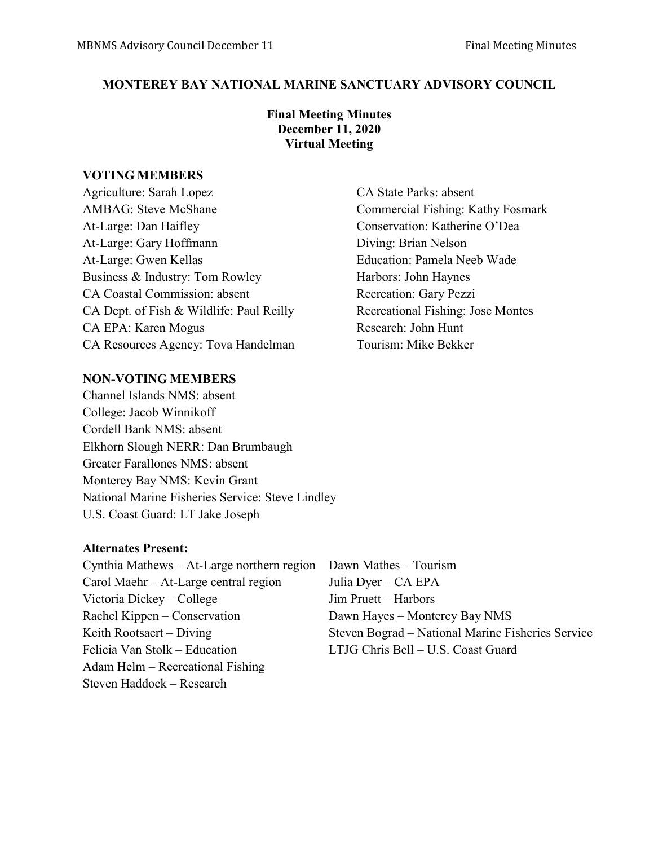### **MONTEREY BAY NATIONAL MARINE SANCTUARY ADVISORY COUNCIL**

### **Final Meeting Minutes December 11, 2020 Virtual Meeting**

#### **VOTING MEMBERS**

Agriculture: Sarah Lopez CA State Parks: absent AMBAG: Steve McShane Commercial Fishing: Kathy Fosmark At-Large: Dan Haifley Conservation: Katherine O'Dea At-Large: Gary Hoffmann Diving: Brian Nelson At-Large: Gwen Kellas Education: Pamela Neeb Wade Business & Industry: Tom Rowley Harbors: John Haynes CA Coastal Commission: absent Recreation: Gary Pezzi CA Dept. of Fish & Wildlife: Paul Reilly Recreational Fishing: Jose Montes CA EPA: Karen Mogus Research: John Hunt CA Resources Agency: Tova Handelman Tourism: Mike Bekker

### **NON-VOTING MEMBERS**

Channel Islands NMS: absent College: Jacob Winnikoff Cordell Bank NMS: absent Elkhorn Slough NERR: Dan Brumbaugh Greater Farallones NMS: absent Monterey Bay NMS: Kevin Grant National Marine Fisheries Service: Steve Lindley U.S. Coast Guard: LT Jake Joseph

#### **Alternates Present:**

Cynthia Mathews – At-Large northern region Dawn Mathes – Tourism Carol Maehr – At-Large central region Julia Dyer – CA EPA Victoria Dickey – College Jim Pruett – Harbors Rachel Kippen – Conservation Dawn Hayes – Monterey Bay NMS Felicia Van Stolk – Education LTJG Chris Bell – U.S. Coast Guard Adam Helm – Recreational Fishing Steven Haddock – Research

Keith Rootsaert – Diving Steven Bograd – National Marine Fisheries Service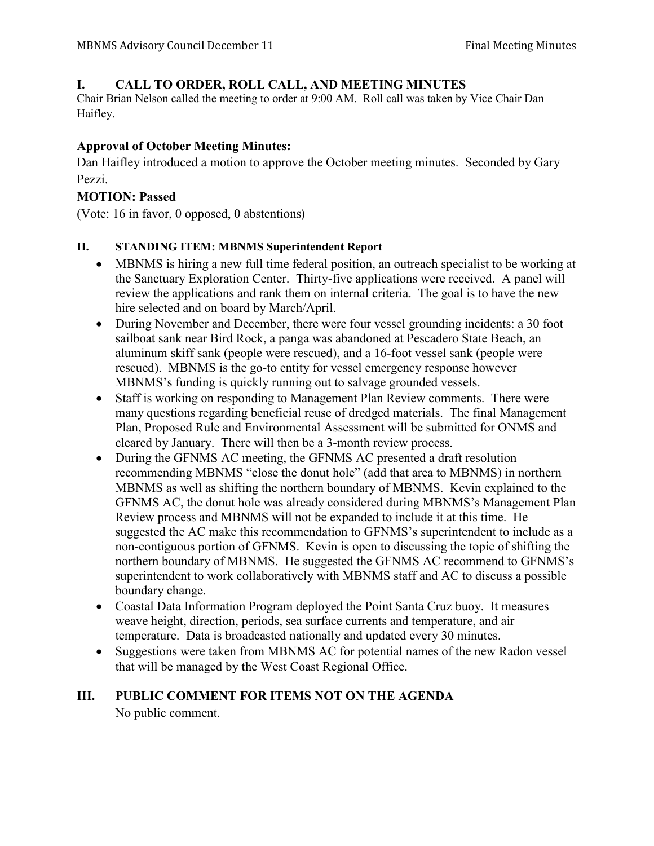# **I. CALL TO ORDER, ROLL CALL, AND MEETING MINUTES**

Chair Brian Nelson called the meeting to order at 9:00 AM. Roll call was taken by Vice Chair Dan Haifley.

### **Approval of October Meeting Minutes:**

Dan Haifley introduced a motion to approve the October meeting minutes. Seconded by Gary Pezzi.

### **MOTION: Passed**

(Vote: 16 in favor, 0 opposed, 0 abstentions)

### **II. STANDING ITEM: MBNMS Superintendent Report**

- MBNMS is hiring a new full time federal position, an outreach specialist to be working at the Sanctuary Exploration Center. Thirty-five applications were received. A panel will review the applications and rank them on internal criteria. The goal is to have the new hire selected and on board by March/April.
- During November and December, there were four vessel grounding incidents: a 30 foot sailboat sank near Bird Rock, a panga was abandoned at Pescadero State Beach, an aluminum skiff sank (people were rescued), and a 16-foot vessel sank (people were rescued). MBNMS is the go-to entity for vessel emergency response however MBNMS's funding is quickly running out to salvage grounded vessels.
- Staff is working on responding to Management Plan Review comments. There were many questions regarding beneficial reuse of dredged materials. The final Management Plan, Proposed Rule and Environmental Assessment will be submitted for ONMS and cleared by January. There will then be a 3-month review process.
- During the GFNMS AC meeting, the GFNMS AC presented a draft resolution recommending MBNMS "close the donut hole" (add that area to MBNMS) in northern MBNMS as well as shifting the northern boundary of MBNMS. Kevin explained to the GFNMS AC, the donut hole was already considered during MBNMS's Management Plan Review process and MBNMS will not be expanded to include it at this time. He suggested the AC make this recommendation to GFNMS's superintendent to include as a non-contiguous portion of GFNMS. Kevin is open to discussing the topic of shifting the northern boundary of MBNMS. He suggested the GFNMS AC recommend to GFNMS's superintendent to work collaboratively with MBNMS staff and AC to discuss a possible boundary change.
- Coastal Data Information Program deployed the Point Santa Cruz buoy. It measures weave height, direction, periods, sea surface currents and temperature, and air temperature. Data is broadcasted nationally and updated every 30 minutes.
- Suggestions were taken from MBNMS AC for potential names of the new Radon vessel that will be managed by the West Coast Regional Office.

# **III. PUBLIC COMMENT FOR ITEMS NOT ON THE AGENDA** No public comment.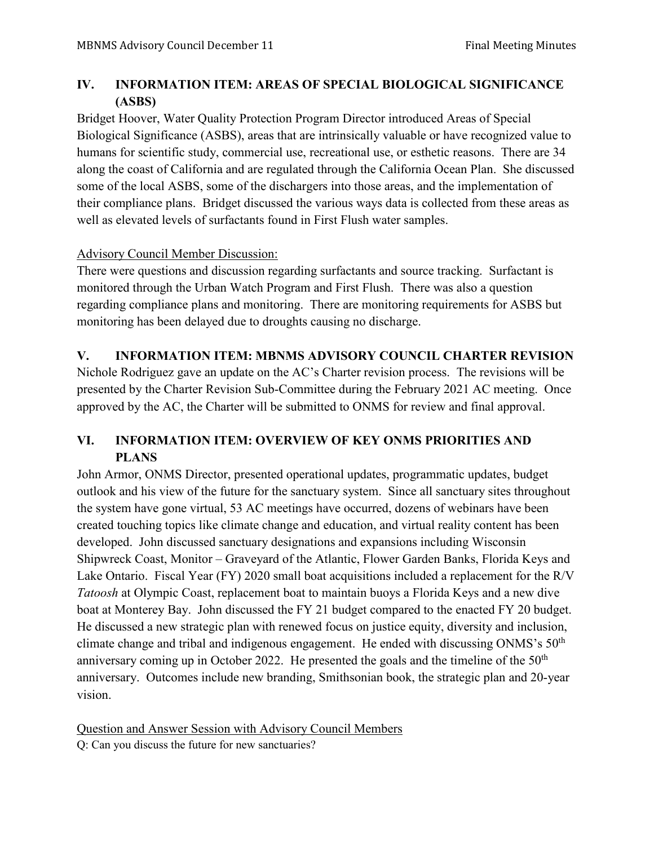# **IV. INFORMATION ITEM: AREAS OF SPECIAL BIOLOGICAL SIGNIFICANCE (ASBS)**

Bridget Hoover, Water Quality Protection Program Director introduced Areas of Special Biological Significance (ASBS), areas that are intrinsically valuable or have recognized value to humans for scientific study, commercial use, recreational use, or esthetic reasons. There are 34 along the coast of California and are regulated through the California Ocean Plan. She discussed some of the local ASBS, some of the dischargers into those areas, and the implementation of their compliance plans. Bridget discussed the various ways data is collected from these areas as well as elevated levels of surfactants found in First Flush water samples.

### Advisory Council Member Discussion:

There were questions and discussion regarding surfactants and source tracking. Surfactant is monitored through the Urban Watch Program and First Flush. There was also a question regarding compliance plans and monitoring. There are monitoring requirements for ASBS but monitoring has been delayed due to droughts causing no discharge.

# **V. INFORMATION ITEM: MBNMS ADVISORY COUNCIL CHARTER REVISION**

Nichole Rodriguez gave an update on the AC's Charter revision process. The revisions will be presented by the Charter Revision Sub-Committee during the February 2021 AC meeting. Once approved by the AC, the Charter will be submitted to ONMS for review and final approval.

# **VI. INFORMATION ITEM: OVERVIEW OF KEY ONMS PRIORITIES AND PLANS**

John Armor, ONMS Director, presented operational updates, programmatic updates, budget outlook and his view of the future for the sanctuary system. Since all sanctuary sites throughout the system have gone virtual, 53 AC meetings have occurred, dozens of webinars have been created touching topics like climate change and education, and virtual reality content has been developed. John discussed sanctuary designations and expansions including Wisconsin Shipwreck Coast, Monitor – Graveyard of the Atlantic, Flower Garden Banks, Florida Keys and Lake Ontario. Fiscal Year (FY) 2020 small boat acquisitions included a replacement for the R/V *Tatoosh* at Olympic Coast, replacement boat to maintain buoys a Florida Keys and a new dive boat at Monterey Bay. John discussed the FY 21 budget compared to the enacted FY 20 budget. He discussed a new strategic plan with renewed focus on justice equity, diversity and inclusion, climate change and tribal and indigenous engagement. He ended with discussing ONMS's  $50<sup>th</sup>$ anniversary coming up in October 2022. He presented the goals and the timeline of the  $50<sup>th</sup>$ anniversary. Outcomes include new branding, Smithsonian book, the strategic plan and 20-year vision.

Question and Answer Session with Advisory Council Members

Q: Can you discuss the future for new sanctuaries?